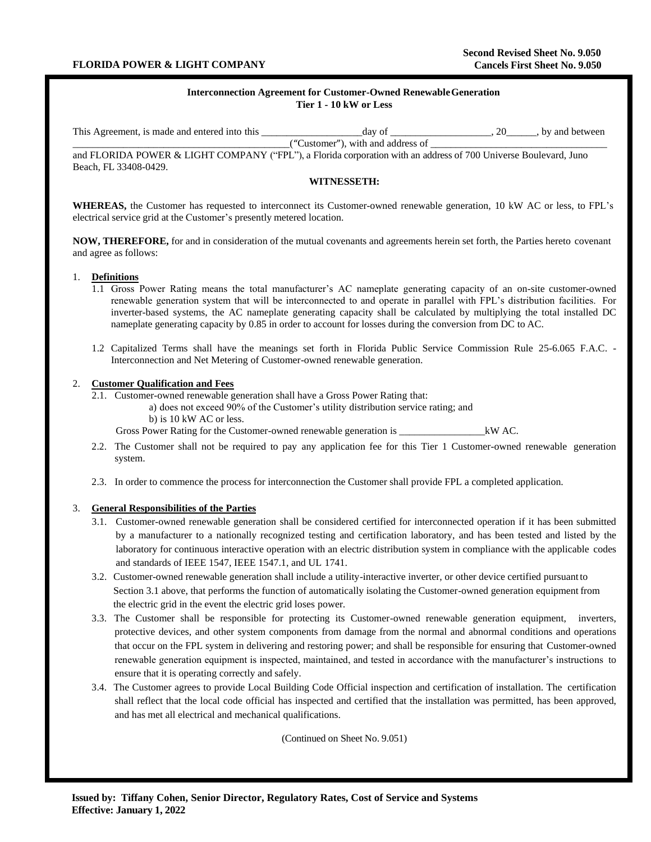# **Interconnection Agreement for Customer-Owned RenewableGeneration Tier 1 - 10 kW or Less**

| This Agreement, is made and entered into this | dav of                          | by and between |
|-----------------------------------------------|---------------------------------|----------------|
|                                               | Customer"), with and address of |                |

and FLORIDA POWER & LIGHT COMPANY ("FPL"), a Florida corporation with an address of 700 Universe Boulevard, Juno Beach, FL 33408-0429.

### **WITNESSETH:**

**WHEREAS,** the Customer has requested to interconnect its Customer-owned renewable generation, 10 kW AC or less, to FPL's electrical service grid at the Customer's presently metered location.

**NOW, THEREFORE,** for and in consideration of the mutual covenants and agreements herein set forth, the Parties hereto covenant and agree as follows:

### 1. **Definitions**

- 1.1 Gross Power Rating means the total manufacturer's AC nameplate generating capacity of an on-site customer-owned renewable generation system that will be interconnected to and operate in parallel with FPL's distribution facilities. For inverter-based systems, the AC nameplate generating capacity shall be calculated by multiplying the total installed DC nameplate generating capacity by 0.85 in order to account for losses during the conversion from DC to AC.
- 1.2 Capitalized Terms shall have the meanings set forth in Florida Public Service Commission Rule 25-6.065 F.A.C. Interconnection and Net Metering of Customer-owned renewable generation.

## 2. **Customer Qualification and Fees**

- 2.1. Customer-owned renewable generation shall have a Gross Power Rating that:
	- a) does not exceed 90% of the Customer's utility distribution service rating; and
	- b) is 10 kW AC or less.

Gross Power Rating for the Customer-owned renewable generation is \_\_\_\_\_\_\_\_\_\_\_\_\_\_\_\_\_kW AC.

- 2.2. The Customer shall not be required to pay any application fee for this Tier 1 Customer-owned renewable generation system.
- 2.3. In order to commence the process for interconnection the Customer shall provide FPL a completed application.

# 3. **General Responsibilities of the Parties**

- 3.1. Customer-owned renewable generation shall be considered certified for interconnected operation if it has been submitted by a manufacturer to a nationally recognized testing and certification laboratory, and has been tested and listed by the laboratory for continuous interactive operation with an electric distribution system in compliance with the applicable codes and standards of IEEE 1547, IEEE 1547.1, and UL 1741.
- 3.2. Customer-owned renewable generation shall include a utility-interactive inverter, or other device certified pursuantto Section 3.1 above, that performs the function of automatically isolating the Customer-owned generation equipment from the electric grid in the event the electric grid loses power.
- 3.3. The Customer shall be responsible for protecting its Customer-owned renewable generation equipment, inverters, protective devices, and other system components from damage from the normal and abnormal conditions and operations that occur on the FPL system in delivering and restoring power; and shall be responsible for ensuring that Customer-owned renewable generation equipment is inspected, maintained, and tested in accordance with the manufacturer's instructions to ensure that it is operating correctly and safely.
- 3.4. The Customer agrees to provide Local Building Code Official inspection and certification of installation. The certification shall reflect that the local code official has inspected and certified that the installation was permitted, has been approved, and has met all electrical and mechanical qualifications.

(Continued on Sheet No. 9.051)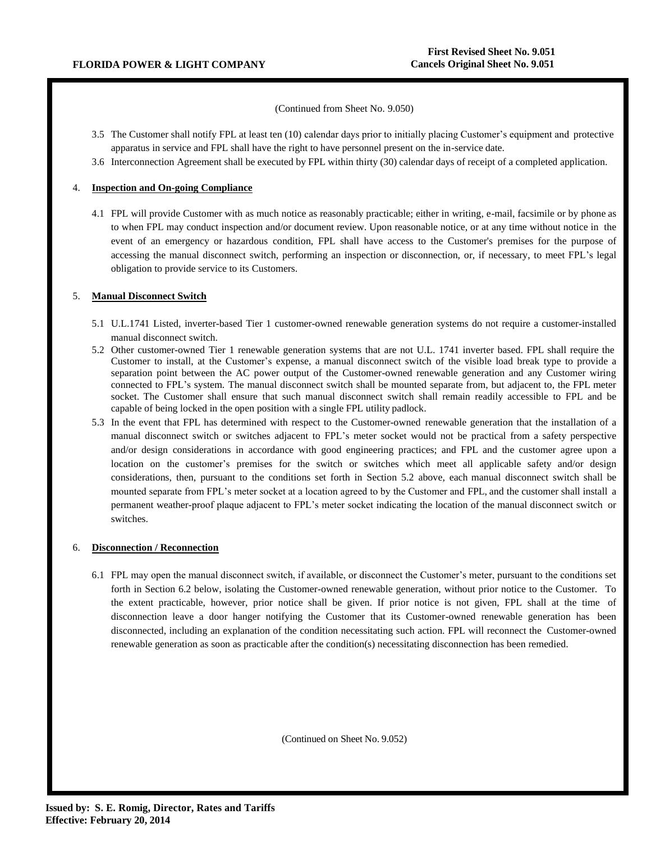(Continued from Sheet No. 9.050)

- 3.5 The Customer shall notify FPL at least ten (10) calendar days prior to initially placing Customer's equipment and protective apparatus in service and FPL shall have the right to have personnel present on the in-service date.
- 3.6 Interconnection Agreement shall be executed by FPL within thirty (30) calendar days of receipt of a completed application.

# 4. **Inspection and On-going Compliance**

4.1 FPL will provide Customer with as much notice as reasonably practicable; either in writing, e-mail, facsimile or by phone as to when FPL may conduct inspection and/or document review. Upon reasonable notice, or at any time without notice in the event of an emergency or hazardous condition, FPL shall have access to the Customer's premises for the purpose of accessing the manual disconnect switch, performing an inspection or disconnection, or, if necessary, to meet FPL's legal obligation to provide service to its Customers.

## 5. **Manual Disconnect Switch**

- 5.1 U.L.1741 Listed, inverter-based Tier 1 customer-owned renewable generation systems do not require a customer-installed manual disconnect switch.
- 5.2 Other customer-owned Tier 1 renewable generation systems that are not U.L. 1741 inverter based. FPL shall require the Customer to install, at the Customer's expense, a manual disconnect switch of the visible load break type to provide a separation point between the AC power output of the Customer-owned renewable generation and any Customer wiring connected to FPL's system. The manual disconnect switch shall be mounted separate from, but adjacent to, the FPL meter socket. The Customer shall ensure that such manual disconnect switch shall remain readily accessible to FPL and be capable of being locked in the open position with a single FPL utility padlock.
- 5.3 In the event that FPL has determined with respect to the Customer-owned renewable generation that the installation of a manual disconnect switch or switches adjacent to FPL's meter socket would not be practical from a safety perspective and/or design considerations in accordance with good engineering practices; and FPL and the customer agree upon a location on the customer's premises for the switch or switches which meet all applicable safety and/or design considerations, then, pursuant to the conditions set forth in Section 5.2 above, each manual disconnect switch shall be mounted separate from FPL's meter socket at a location agreed to by the Customer and FPL, and the customer shall install a permanent weather-proof plaque adjacent to FPL's meter socket indicating the location of the manual disconnect switch or switches.

### 6. **Disconnection / Reconnection**

6.1 FPL may open the manual disconnect switch, if available, or disconnect the Customer's meter, pursuant to the conditions set forth in Section 6.2 below, isolating the Customer-owned renewable generation, without prior notice to the Customer. To the extent practicable, however, prior notice shall be given. If prior notice is not given, FPL shall at the time of disconnection leave a door hanger notifying the Customer that its Customer-owned renewable generation has been disconnected, including an explanation of the condition necessitating such action. FPL will reconnect the Customer-owned renewable generation as soon as practicable after the condition(s) necessitating disconnection has been remedied.

(Continued on Sheet No. 9.052)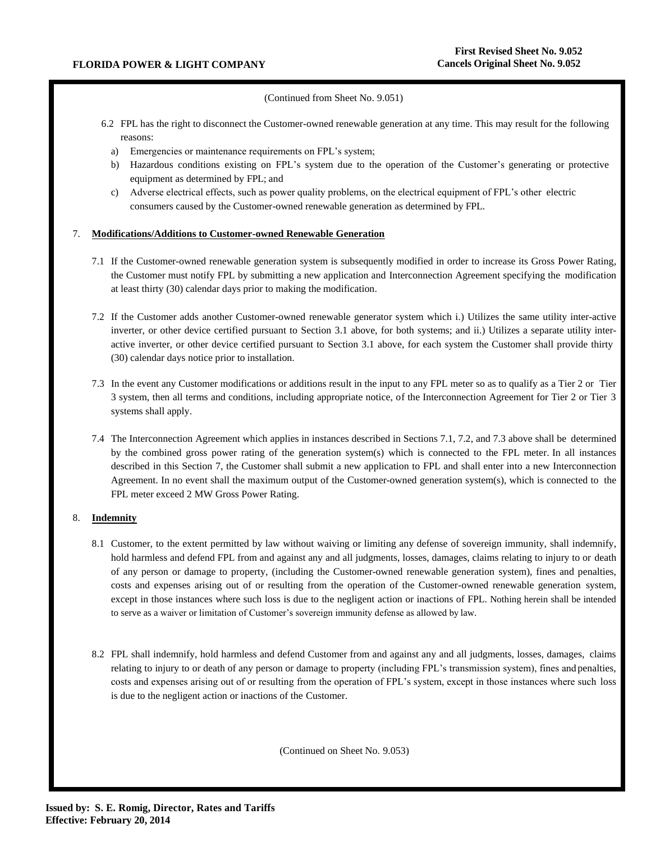## (Continued from Sheet No. 9.051)

- 6.2 FPL has the right to disconnect the Customer-owned renewable generation at any time. This may result for the following reasons:
	- a) Emergencies or maintenance requirements on FPL's system;
	- b) Hazardous conditions existing on FPL's system due to the operation of the Customer's generating or protective equipment as determined by FPL; and
	- c) Adverse electrical effects, such as power quality problems, on the electrical equipment of FPL's other electric consumers caused by the Customer-owned renewable generation as determined by FPL.

## 7. **Modifications/Additions to Customer-owned Renewable Generation**

- 7.1 If the Customer-owned renewable generation system is subsequently modified in order to increase its Gross Power Rating, the Customer must notify FPL by submitting a new application and Interconnection Agreement specifying the modification at least thirty (30) calendar days prior to making the modification.
- 7.2 If the Customer adds another Customer-owned renewable generator system which i.) Utilizes the same utility inter-active inverter, or other device certified pursuant to Section 3.1 above, for both systems; and ii.) Utilizes a separate utility interactive inverter, or other device certified pursuant to Section 3.1 above, for each system the Customer shall provide thirty (30) calendar days notice prior to installation.
- 7.3 In the event any Customer modifications or additions result in the input to any FPL meter so as to qualify as a Tier 2 or Tier 3 system, then all terms and conditions, including appropriate notice, of the Interconnection Agreement for Tier 2 or Tier 3 systems shall apply.
- 7.4 The Interconnection Agreement which applies in instances described in Sections 7.1, 7.2, and 7.3 above shall be determined by the combined gross power rating of the generation system(s) which is connected to the FPL meter. In all instances described in this Section 7, the Customer shall submit a new application to FPL and shall enter into a new Interconnection Agreement. In no event shall the maximum output of the Customer-owned generation system(s), which is connected to the FPL meter exceed 2 MW Gross Power Rating.

# 8. **Indemnity**

- 8.1 Customer, to the extent permitted by law without waiving or limiting any defense of sovereign immunity, shall indemnify, hold harmless and defend FPL from and against any and all judgments, losses, damages, claims relating to injury to or death of any person or damage to property, (including the Customer-owned renewable generation system), fines and penalties, costs and expenses arising out of or resulting from the operation of the Customer-owned renewable generation system, except in those instances where such loss is due to the negligent action or inactions of FPL. Nothing herein shall be intended to serve as a waiver or limitation of Customer's sovereign immunity defense as allowed by law.
- 8.2 FPL shall indemnify, hold harmless and defend Customer from and against any and all judgments, losses, damages, claims relating to injury to or death of any person or damage to property (including FPL's transmission system), fines and penalties, costs and expenses arising out of or resulting from the operation of FPL's system, except in those instances where such loss is due to the negligent action or inactions of the Customer.

(Continued on Sheet No. 9.053)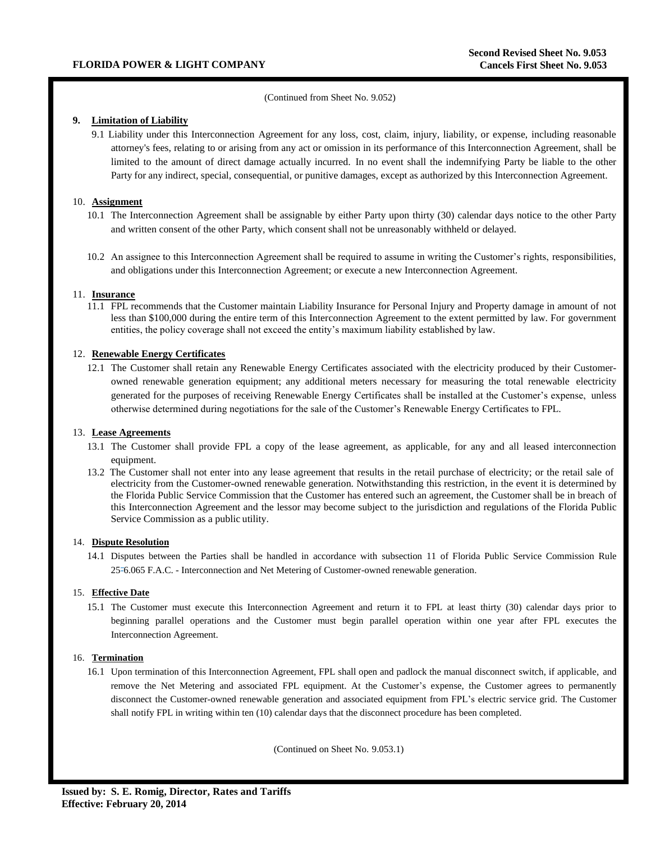### (Continued from Sheet No. 9.052)

## **9. Limitation of Liability**

9.1 Liability under this Interconnection Agreement for any loss, cost, claim, injury, liability, or expense, including reasonable attorney's fees, relating to or arising from any act or omission in its performance of this Interconnection Agreement, shall be limited to the amount of direct damage actually incurred. In no event shall the indemnifying Party be liable to the other Party for any indirect, special, consequential, or punitive damages, except as authorized by this Interconnection Agreement.

### 10. **Assignment**

- 10.1 The Interconnection Agreement shall be assignable by either Party upon thirty (30) calendar days notice to the other Party and written consent of the other Party, which consent shall not be unreasonably withheld or delayed.
- 10.2 An assignee to this Interconnection Agreement shall be required to assume in writing the Customer's rights, responsibilities, and obligations under this Interconnection Agreement; or execute a new Interconnection Agreement.

#### 11. **Insurance**

11.1 FPL recommends that the Customer maintain Liability Insurance for Personal Injury and Property damage in amount of not less than \$100,000 during the entire term of this Interconnection Agreement to the extent permitted by law. For government entities, the policy coverage shall not exceed the entity's maximum liability established by law.

# 12. **Renewable Energy Certificates**

12.1 The Customer shall retain any Renewable Energy Certificates associated with the electricity produced by their Customerowned renewable generation equipment; any additional meters necessary for measuring the total renewable electricity generated for the purposes of receiving Renewable Energy Certificates shall be installed at the Customer's expense, unless otherwise determined during negotiations for the sale of the Customer's Renewable Energy Certificates to FPL.

# 13. **Lease Agreements**

- 13.1 The Customer shall provide FPL a copy of the lease agreement, as applicable, for any and all leased interconnection equipment.
- 13.2 The Customer shall not enter into any lease agreement that results in the retail purchase of electricity; or the retail sale of electricity from the Customer-owned renewable generation. Notwithstanding this restriction, in the event it is determined by the Florida Public Service Commission that the Customer has entered such an agreement, the Customer shall be in breach of this Interconnection Agreement and the lessor may become subject to the jurisdiction and regulations of the Florida Public Service Commission as a public utility.

### 14. **Dispute Resolution**

14.1 Disputes between the Parties shall be handled in accordance with subsection 11 of Florida Public Service Commission Rule 25-6.065 F.A.C. - Interconnection and Net Metering of Customer-owned renewable generation.

### 15. **Effective Date**

15.1 The Customer must execute this Interconnection Agreement and return it to FPL at least thirty (30) calendar days prior to beginning parallel operations and the Customer must begin parallel operation within one year after FPL executes the Interconnection Agreement.

### 16. **Termination**

16.1 Upon termination of this Interconnection Agreement, FPL shall open and padlock the manual disconnect switch, if applicable, and remove the Net Metering and associated FPL equipment. At the Customer's expense, the Customer agrees to permanently disconnect the Customer-owned renewable generation and associated equipment from FPL's electric service grid. The Customer shall notify FPL in writing within ten (10) calendar days that the disconnect procedure has been completed.

(Continued on Sheet No. 9.053.1)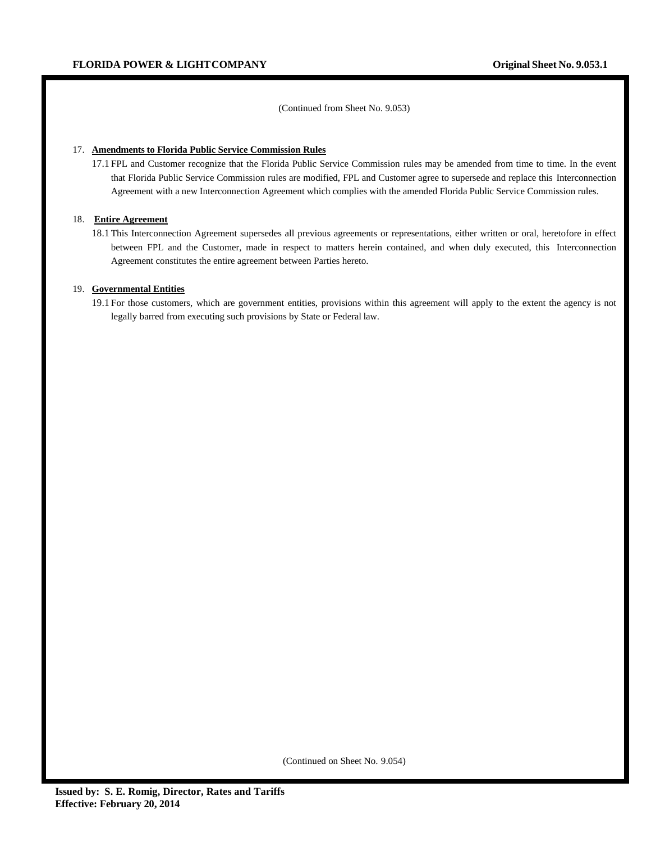(Continued from Sheet No. 9.053)

### 17. **Amendments to Florida Public Service Commission Rules**

17.1 FPL and Customer recognize that the Florida Public Service Commission rules may be amended from time to time. In the event that Florida Public Service Commission rules are modified, FPL and Customer agree to supersede and replace this Interconnection Agreement with a new Interconnection Agreement which complies with the amended Florida Public Service Commission rules.

#### 18. **Entire Agreement**

18.1 This Interconnection Agreement supersedes all previous agreements or representations, either written or oral, heretofore in effect between FPL and the Customer, made in respect to matters herein contained, and when duly executed, this Interconnection Agreement constitutes the entire agreement between Parties hereto.

#### 19. **Governmental Entities**

19.1 For those customers, which are government entities, provisions within this agreement will apply to the extent the agency is not legally barred from executing such provisions by State or Federal law.

(Continued on Sheet No. 9.054)